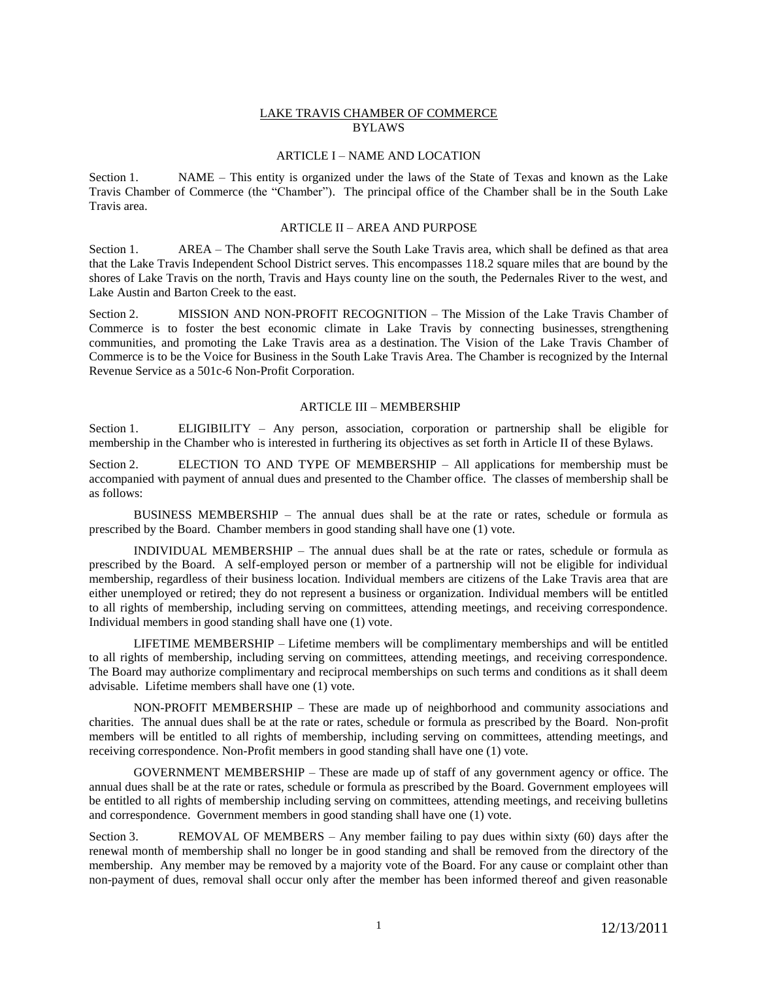### LAKE TRAVIS CHAMBER OF COMMERCE BYLAWS

## ARTICLE I – NAME AND LOCATION

Section 1. NAME – This entity is organized under the laws of the State of Texas and known as the Lake Travis Chamber of Commerce (the "Chamber"). The principal office of the Chamber shall be in the South Lake Travis area.

#### ARTICLE II – AREA AND PURPOSE

Section 1. AREA – The Chamber shall serve the South Lake Travis area, which shall be defined as that area that the Lake Travis Independent School District serves. This encompasses 118.2 square miles that are bound by the shores of Lake Travis on the north, Travis and Hays county line on the south, the Pedernales River to the west, and Lake Austin and Barton Creek to the east.

Section 2. MISSION AND NON-PROFIT RECOGNITION – The Mission of the Lake Travis Chamber of Commerce is to foster the best economic climate in Lake Travis by connecting businesses, strengthening communities, and promoting the Lake Travis area as a destination. The Vision of the Lake Travis Chamber of Commerce is to be the Voice for Business in the South Lake Travis Area. The Chamber is recognized by the Internal Revenue Service as a 501c-6 Non-Profit Corporation.

#### ARTICLE III – MEMBERSHIP

Section 1. ELIGIBILITY – Any person, association, corporation or partnership shall be eligible for membership in the Chamber who is interested in furthering its objectives as set forth in Article II of these Bylaws.

Section 2. ELECTION TO AND TYPE OF MEMBERSHIP – All applications for membership must be accompanied with payment of annual dues and presented to the Chamber office. The classes of membership shall be as follows:

BUSINESS MEMBERSHIP – The annual dues shall be at the rate or rates, schedule or formula as prescribed by the Board. Chamber members in good standing shall have one (1) vote.

INDIVIDUAL MEMBERSHIP – The annual dues shall be at the rate or rates, schedule or formula as prescribed by the Board. A self-employed person or member of a partnership will not be eligible for individual membership, regardless of their business location. Individual members are citizens of the Lake Travis area that are either unemployed or retired; they do not represent a business or organization. Individual members will be entitled to all rights of membership, including serving on committees, attending meetings, and receiving correspondence. Individual members in good standing shall have one (1) vote.

LIFETIME MEMBERSHIP – Lifetime members will be complimentary memberships and will be entitled to all rights of membership, including serving on committees, attending meetings, and receiving correspondence. The Board may authorize complimentary and reciprocal memberships on such terms and conditions as it shall deem advisable. Lifetime members shall have one (1) vote.

 NON-PROFIT MEMBERSHIP – These are made up of neighborhood and community associations and charities. The annual dues shall be at the rate or rates, schedule or formula as prescribed by the Board. Non-profit members will be entitled to all rights of membership, including serving on committees, attending meetings, and receiving correspondence. Non-Profit members in good standing shall have one (1) vote.

GOVERNMENT MEMBERSHIP – These are made up of staff of any government agency or office. The annual dues shall be at the rate or rates, schedule or formula as prescribed by the Board. Government employees will be entitled to all rights of membership including serving on committees, attending meetings, and receiving bulletins and correspondence. Government members in good standing shall have one (1) vote.

Section 3. REMOVAL OF MEMBERS – Any member failing to pay dues within sixty (60) days after the renewal month of membership shall no longer be in good standing and shall be removed from the directory of the membership. Any member may be removed by a majority vote of the Board. For any cause or complaint other than non-payment of dues, removal shall occur only after the member has been informed thereof and given reasonable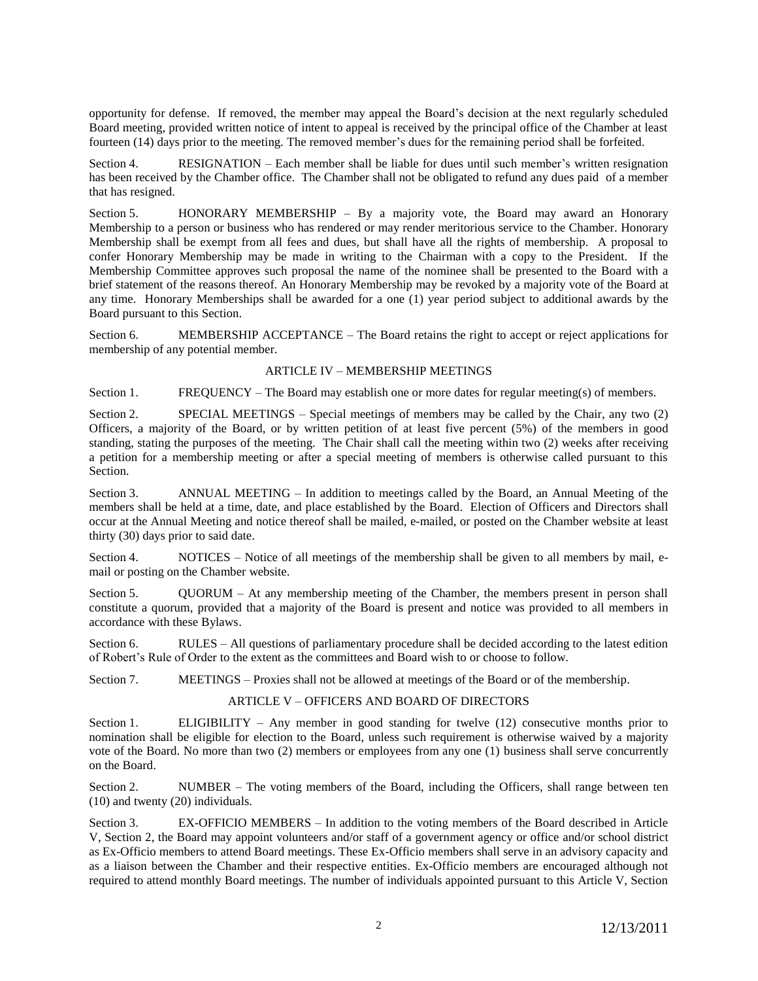opportunity for defense. If removed, the member may appeal the Board's decision at the next regularly scheduled Board meeting, provided written notice of intent to appeal is received by the principal office of the Chamber at least fourteen (14) days prior to the meeting. The removed member's dues for the remaining period shall be forfeited.

Section 4. RESIGNATION – Each member shall be liable for dues until such member's written resignation has been received by the Chamber office. The Chamber shall not be obligated to refund any dues paid of a member that has resigned.

Section 5. HONORARY MEMBERSHIP – By a majority vote, the Board may award an Honorary Membership to a person or business who has rendered or may render meritorious service to the Chamber. Honorary Membership shall be exempt from all fees and dues, but shall have all the rights of membership. A proposal to confer Honorary Membership may be made in writing to the Chairman with a copy to the President. If the Membership Committee approves such proposal the name of the nominee shall be presented to the Board with a brief statement of the reasons thereof. An Honorary Membership may be revoked by a majority vote of the Board at any time. Honorary Memberships shall be awarded for a one (1) year period subject to additional awards by the Board pursuant to this Section.

Section 6. MEMBERSHIP ACCEPTANCE – The Board retains the right to accept or reject applications for membership of any potential member.

# ARTICLE IV – MEMBERSHIP MEETINGS

Section 1. FREQUENCY – The Board may establish one or more dates for regular meeting(s) of members.

Section 2. SPECIAL MEETINGS – Special meetings of members may be called by the Chair, any two (2) Officers, a majority of the Board, or by written petition of at least five percent (5%) of the members in good standing, stating the purposes of the meeting. The Chair shall call the meeting within two (2) weeks after receiving a petition for a membership meeting or after a special meeting of members is otherwise called pursuant to this Section.

Section 3. ANNUAL MEETING – In addition to meetings called by the Board, an Annual Meeting of the members shall be held at a time, date, and place established by the Board. Election of Officers and Directors shall occur at the Annual Meeting and notice thereof shall be mailed, e-mailed, or posted on the Chamber website at least thirty (30) days prior to said date.

Section 4. NOTICES – Notice of all meetings of the membership shall be given to all members by mail, email or posting on the Chamber website.

Section 5. QUORUM – At any membership meeting of the Chamber, the members present in person shall constitute a quorum, provided that a majority of the Board is present and notice was provided to all members in accordance with these Bylaws.

Section 6. RULES – All questions of parliamentary procedure shall be decided according to the latest edition of Robert's Rule of Order to the extent as the committees and Board wish to or choose to follow.

Section 7. MEETINGS – Proxies shall not be allowed at meetings of the Board or of the membership.

# ARTICLE V – OFFICERS AND BOARD OF DIRECTORS

Section 1. ELIGIBILITY – Any member in good standing for twelve (12) consecutive months prior to nomination shall be eligible for election to the Board, unless such requirement is otherwise waived by a majority vote of the Board. No more than two (2) members or employees from any one (1) business shall serve concurrently on the Board.

Section 2. NUMBER – The voting members of the Board, including the Officers, shall range between ten (10) and twenty (20) individuals.

Section 3. EX-OFFICIO MEMBERS – In addition to the voting members of the Board described in Article V, Section 2, the Board may appoint volunteers and/or staff of a government agency or office and/or school district as Ex-Officio members to attend Board meetings. These Ex-Officio members shall serve in an advisory capacity and as a liaison between the Chamber and their respective entities. Ex-Officio members are encouraged although not required to attend monthly Board meetings. The number of individuals appointed pursuant to this Article V, Section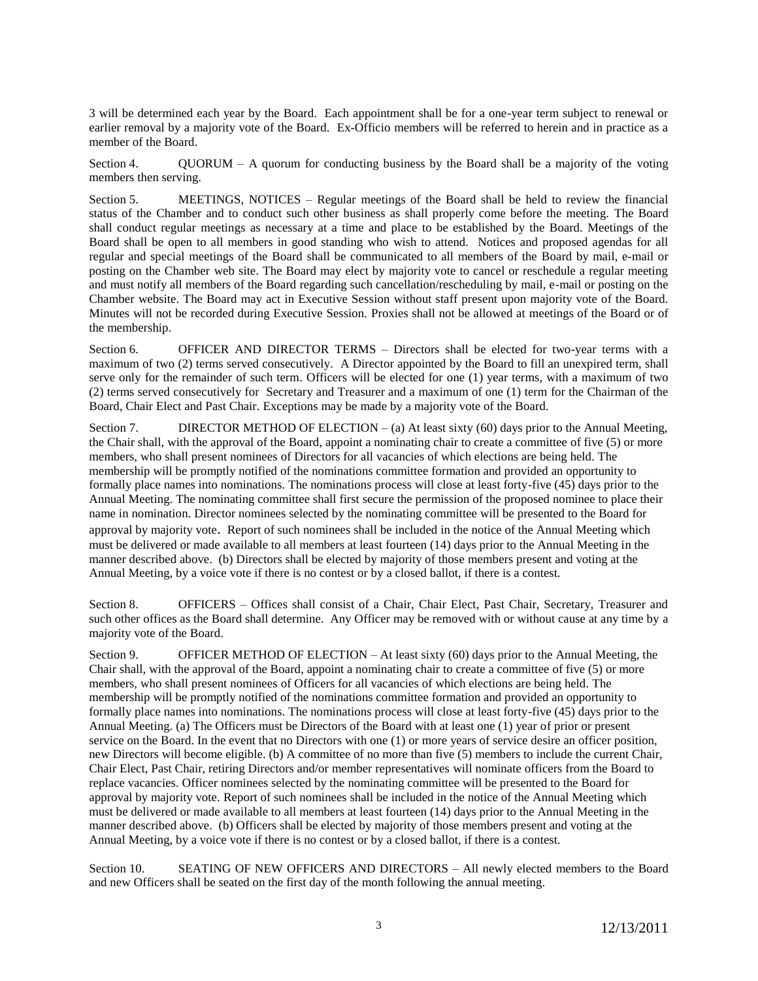3 will be determined each year by the Board. Each appointment shall be for a one-year term subject to renewal or earlier removal by a majority vote of the Board. Ex-Officio members will be referred to herein and in practice as a member of the Board.

Section 4. QUORUM – A quorum for conducting business by the Board shall be a majority of the voting members then serving.

Section 5. MEETINGS, NOTICES – Regular meetings of the Board shall be held to review the financial status of the Chamber and to conduct such other business as shall properly come before the meeting. The Board shall conduct regular meetings as necessary at a time and place to be established by the Board. Meetings of the Board shall be open to all members in good standing who wish to attend. Notices and proposed agendas for all regular and special meetings of the Board shall be communicated to all members of the Board by mail, e-mail or posting on the Chamber web site. The Board may elect by majority vote to cancel or reschedule a regular meeting and must notify all members of the Board regarding such cancellation/rescheduling by mail, e-mail or posting on the Chamber website. The Board may act in Executive Session without staff present upon majority vote of the Board. Minutes will not be recorded during Executive Session. Proxies shall not be allowed at meetings of the Board or of the membership.

Section 6. OFFICER AND DIRECTOR TERMS – Directors shall be elected for two-year terms with a maximum of two (2) terms served consecutively. A Director appointed by the Board to fill an unexpired term, shall serve only for the remainder of such term. Officers will be elected for one (1) year terms, with a maximum of two (2) terms served consecutively for Secretary and Treasurer and a maximum of one (1) term for the Chairman of the Board, Chair Elect and Past Chair. Exceptions may be made by a majority vote of the Board.

Section 7. DIRECTOR METHOD OF ELECTION  $-$  (a) At least sixty (60) days prior to the Annual Meeting, the Chair shall, with the approval of the Board, appoint a nominating chair to create a committee of five (5) or more members, who shall present nominees of Directors for all vacancies of which elections are being held. The membership will be promptly notified of the nominations committee formation and provided an opportunity to formally place names into nominations. The nominations process will close at least forty-five (45) days prior to the Annual Meeting. The nominating committee shall first secure the permission of the proposed nominee to place their name in nomination. Director nominees selected by the nominating committee will be presented to the Board for approval by majority vote. Report of such nominees shall be included in the notice of the Annual Meeting which must be delivered or made available to all members at least fourteen (14) days prior to the Annual Meeting in the manner described above. (b) Directors shall be elected by majority of those members present and voting at the Annual Meeting, by a voice vote if there is no contest or by a closed ballot, if there is a contest.

Section 8. OFFICERS – Offices shall consist of a Chair, Chair Elect, Past Chair, Secretary, Treasurer and such other offices as the Board shall determine. Any Officer may be removed with or without cause at any time by a majority vote of the Board.

Section 9. OFFICER METHOD OF ELECTION – At least sixty (60) days prior to the Annual Meeting, the Chair shall, with the approval of the Board, appoint a nominating chair to create a committee of five (5) or more members, who shall present nominees of Officers for all vacancies of which elections are being held. The membership will be promptly notified of the nominations committee formation and provided an opportunity to formally place names into nominations. The nominations process will close at least forty-five (45) days prior to the Annual Meeting. (a) The Officers must be Directors of the Board with at least one (1) year of prior or present service on the Board. In the event that no Directors with one (1) or more years of service desire an officer position, new Directors will become eligible. (b) A committee of no more than five (5) members to include the current Chair, Chair Elect, Past Chair, retiring Directors and/or member representatives will nominate officers from the Board to replace vacancies. Officer nominees selected by the nominating committee will be presented to the Board for approval by majority vote. Report of such nominees shall be included in the notice of the Annual Meeting which must be delivered or made available to all members at least fourteen (14) days prior to the Annual Meeting in the manner described above. (b) Officers shall be elected by majority of those members present and voting at the Annual Meeting, by a voice vote if there is no contest or by a closed ballot, if there is a contest.

Section 10. SEATING OF NEW OFFICERS AND DIRECTORS – All newly elected members to the Board and new Officers shall be seated on the first day of the month following the annual meeting.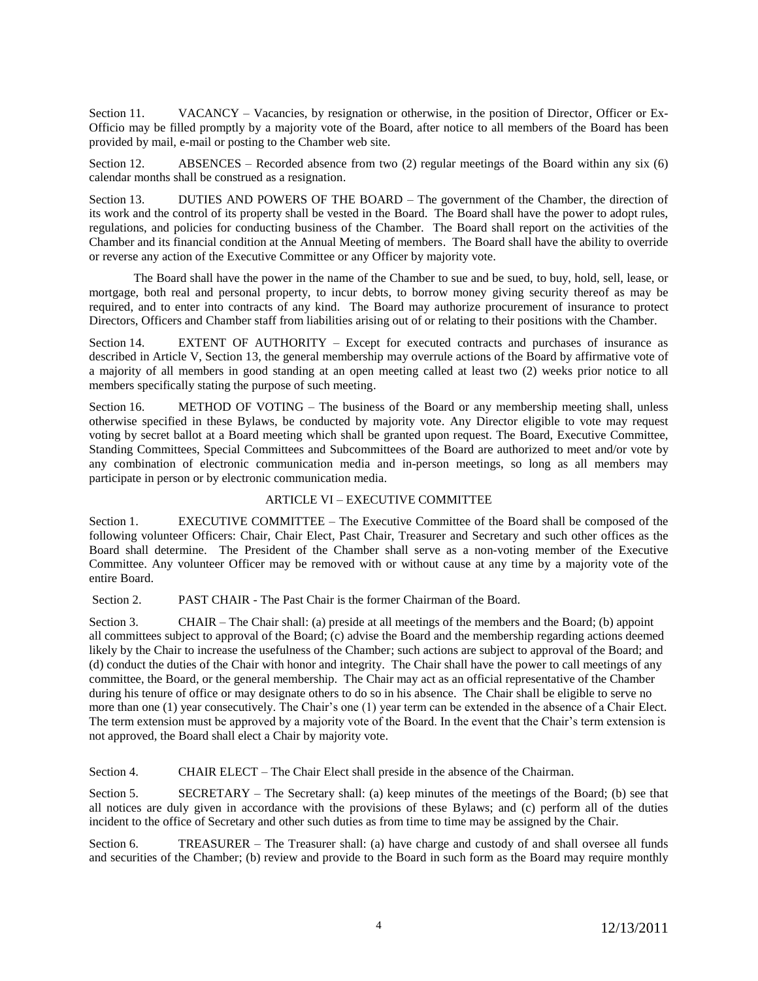Section 11. VACANCY – Vacancies, by resignation or otherwise, in the position of Director, Officer or Ex-Officio may be filled promptly by a majority vote of the Board, after notice to all members of the Board has been provided by mail, e-mail or posting to the Chamber web site.

Section 12. ABSENCES – Recorded absence from two (2) regular meetings of the Board within any six (6) calendar months shall be construed as a resignation.

Section 13. DUTIES AND POWERS OF THE BOARD – The government of the Chamber, the direction of its work and the control of its property shall be vested in the Board. The Board shall have the power to adopt rules, regulations, and policies for conducting business of the Chamber. The Board shall report on the activities of the Chamber and its financial condition at the Annual Meeting of members. The Board shall have the ability to override or reverse any action of the Executive Committee or any Officer by majority vote.

The Board shall have the power in the name of the Chamber to sue and be sued, to buy, hold, sell, lease, or mortgage, both real and personal property, to incur debts, to borrow money giving security thereof as may be required, and to enter into contracts of any kind. The Board may authorize procurement of insurance to protect Directors, Officers and Chamber staff from liabilities arising out of or relating to their positions with the Chamber.

Section 14. EXTENT OF AUTHORITY – Except for executed contracts and purchases of insurance as described in Article V, Section 13, the general membership may overrule actions of the Board by affirmative vote of a majority of all members in good standing at an open meeting called at least two (2) weeks prior notice to all members specifically stating the purpose of such meeting.

Section 16. METHOD OF VOTING – The business of the Board or any membership meeting shall, unless otherwise specified in these Bylaws, be conducted by majority vote. Any Director eligible to vote may request voting by secret ballot at a Board meeting which shall be granted upon request. The Board, Executive Committee, Standing Committees, Special Committees and Subcommittees of the Board are authorized to meet and/or vote by any combination of electronic communication media and in-person meetings, so long as all members may participate in person or by electronic communication media.

# ARTICLE VI – EXECUTIVE COMMITTEE

Section 1. EXECUTIVE COMMITTEE – The Executive Committee of the Board shall be composed of the following volunteer Officers: Chair, Chair Elect, Past Chair, Treasurer and Secretary and such other offices as the Board shall determine. The President of the Chamber shall serve as a non-voting member of the Executive Committee. Any volunteer Officer may be removed with or without cause at any time by a majority vote of the entire Board.

Section 2. PAST CHAIR - The Past Chair is the former Chairman of the Board.

Section 3. CHAIR – The Chair shall: (a) preside at all meetings of the members and the Board; (b) appoint all committees subject to approval of the Board; (c) advise the Board and the membership regarding actions deemed likely by the Chair to increase the usefulness of the Chamber; such actions are subject to approval of the Board; and (d) conduct the duties of the Chair with honor and integrity. The Chair shall have the power to call meetings of any committee, the Board, or the general membership. The Chair may act as an official representative of the Chamber during his tenure of office or may designate others to do so in his absence. The Chair shall be eligible to serve no more than one (1) year consecutively. The Chair's one (1) year term can be extended in the absence of a Chair Elect. The term extension must be approved by a majority vote of the Board. In the event that the Chair's term extension is not approved, the Board shall elect a Chair by majority vote.

Section 4. CHAIR ELECT – The Chair Elect shall preside in the absence of the Chairman.

Section 5. SECRETARY – The Secretary shall: (a) keep minutes of the meetings of the Board; (b) see that all notices are duly given in accordance with the provisions of these Bylaws; and (c) perform all of the duties incident to the office of Secretary and other such duties as from time to time may be assigned by the Chair.

Section 6. TREASURER – The Treasurer shall: (a) have charge and custody of and shall oversee all funds and securities of the Chamber; (b) review and provide to the Board in such form as the Board may require monthly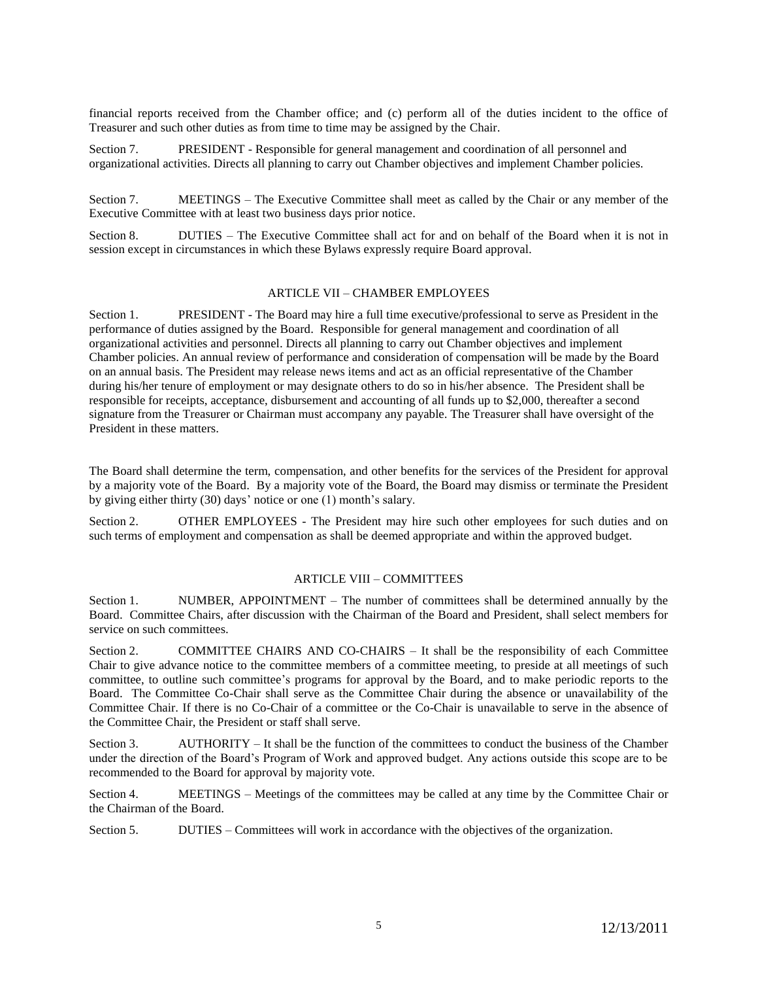financial reports received from the Chamber office; and (c) perform all of the duties incident to the office of Treasurer and such other duties as from time to time may be assigned by the Chair.

Section 7. PRESIDENT - Responsible for general management and coordination of all personnel and organizational activities. Directs all planning to carry out Chamber objectives and implement Chamber policies.

Section 7. MEETINGS – The Executive Committee shall meet as called by the Chair or any member of the Executive Committee with at least two business days prior notice.

Section 8. DUTIES – The Executive Committee shall act for and on behalf of the Board when it is not in session except in circumstances in which these Bylaws expressly require Board approval.

# ARTICLE VII – CHAMBER EMPLOYEES

Section 1. PRESIDENT - The Board may hire a full time executive/professional to serve as President in the performance of duties assigned by the Board. Responsible for general management and coordination of all organizational activities and personnel. Directs all planning to carry out Chamber objectives and implement Chamber policies. An annual review of performance and consideration of compensation will be made by the Board on an annual basis. The President may release news items and act as an official representative of the Chamber during his/her tenure of employment or may designate others to do so in his/her absence. The President shall be responsible for receipts, acceptance, disbursement and accounting of all funds up to \$2,000, thereafter a second signature from the Treasurer or Chairman must accompany any payable. The Treasurer shall have oversight of the President in these matters.

The Board shall determine the term, compensation, and other benefits for the services of the President for approval by a majority vote of the Board. By a majority vote of the Board, the Board may dismiss or terminate the President by giving either thirty (30) days' notice or one (1) month's salary.

Section 2. OTHER EMPLOYEES - The President may hire such other employees for such duties and on such terms of employment and compensation as shall be deemed appropriate and within the approved budget.

### ARTICLE VIII – COMMITTEES

Section 1. NUMBER, APPOINTMENT – The number of committees shall be determined annually by the Board. Committee Chairs, after discussion with the Chairman of the Board and President, shall select members for service on such committees.

Section 2. COMMITTEE CHAIRS AND CO-CHAIRS – It shall be the responsibility of each Committee Chair to give advance notice to the committee members of a committee meeting, to preside at all meetings of such committee, to outline such committee's programs for approval by the Board, and to make periodic reports to the Board. The Committee Co-Chair shall serve as the Committee Chair during the absence or unavailability of the Committee Chair. If there is no Co-Chair of a committee or the Co-Chair is unavailable to serve in the absence of the Committee Chair, the President or staff shall serve.

Section 3. AUTHORITY – It shall be the function of the committees to conduct the business of the Chamber under the direction of the Board's Program of Work and approved budget. Any actions outside this scope are to be recommended to the Board for approval by majority vote.

Section 4. MEETINGS – Meetings of the committees may be called at any time by the Committee Chair or the Chairman of the Board.

Section 5. DUTIES – Committees will work in accordance with the objectives of the organization.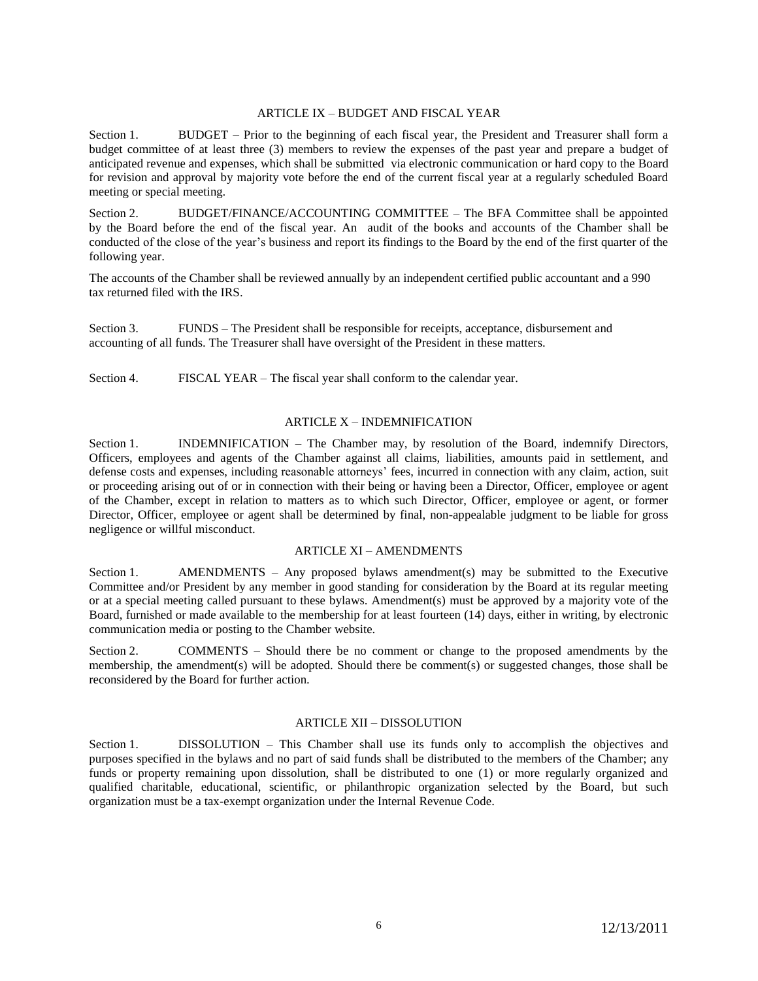# ARTICLE IX – BUDGET AND FISCAL YEAR

Section 1. BUDGET – Prior to the beginning of each fiscal year, the President and Treasurer shall form a budget committee of at least three (3) members to review the expenses of the past year and prepare a budget of anticipated revenue and expenses, which shall be submitted via electronic communication or hard copy to the Board for revision and approval by majority vote before the end of the current fiscal year at a regularly scheduled Board meeting or special meeting.

Section 2. BUDGET/FINANCE/ACCOUNTING COMMITTEE – The BFA Committee shall be appointed by the Board before the end of the fiscal year. An audit of the books and accounts of the Chamber shall be conducted of the close of the year's business and report its findings to the Board by the end of the first quarter of the following year.

The accounts of the Chamber shall be reviewed annually by an independent certified public accountant and a 990 tax returned filed with the IRS.

Section 3. FUNDS – The President shall be responsible for receipts, acceptance, disbursement and accounting of all funds. The Treasurer shall have oversight of the President in these matters.

Section 4. FISCAL YEAR – The fiscal year shall conform to the calendar year.

### ARTICLE X – INDEMNIFICATION

Section 1. INDEMNIFICATION – The Chamber may, by resolution of the Board, indemnify Directors, Officers, employees and agents of the Chamber against all claims, liabilities, amounts paid in settlement, and defense costs and expenses, including reasonable attorneys' fees, incurred in connection with any claim, action, suit or proceeding arising out of or in connection with their being or having been a Director, Officer, employee or agent of the Chamber, except in relation to matters as to which such Director, Officer, employee or agent, or former Director, Officer, employee or agent shall be determined by final, non-appealable judgment to be liable for gross negligence or willful misconduct.

### ARTICLE XI – AMENDMENTS

Section 1. AMENDMENTS – Any proposed bylaws amendment(s) may be submitted to the Executive Committee and/or President by any member in good standing for consideration by the Board at its regular meeting or at a special meeting called pursuant to these bylaws. Amendment(s) must be approved by a majority vote of the Board, furnished or made available to the membership for at least fourteen (14) days, either in writing, by electronic communication media or posting to the Chamber website.

Section 2. COMMENTS – Should there be no comment or change to the proposed amendments by the membership, the amendment(s) will be adopted. Should there be comment(s) or suggested changes, those shall be reconsidered by the Board for further action.

# ARTICLE XII – DISSOLUTION

Section 1. DISSOLUTION – This Chamber shall use its funds only to accomplish the objectives and purposes specified in the bylaws and no part of said funds shall be distributed to the members of the Chamber; any funds or property remaining upon dissolution, shall be distributed to one (1) or more regularly organized and qualified charitable, educational, scientific, or philanthropic organization selected by the Board, but such organization must be a tax-exempt organization under the Internal Revenue Code.